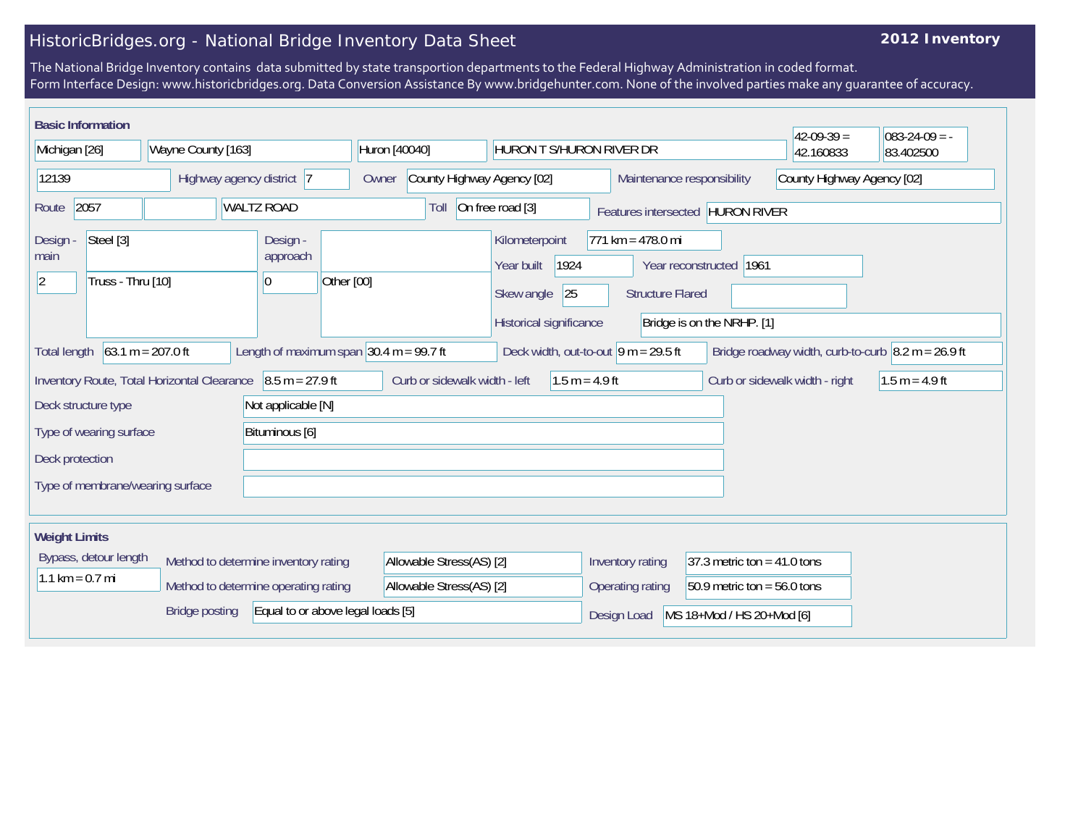## HistoricBridges.org - National Bridge Inventory Data Sheet

## **2012 Inventory**

The National Bridge Inventory contains data submitted by state transportion departments to the Federal Highway Administration in coded format. Form Interface Design: www.historicbridges.org. Data Conversion Assistance By www.bridgehunter.com. None of the involved parties make any guarantee of accuracy.

| <b>Basic Information</b>                                                                                                                                                                                            |  |                                         |                                                                                                   |                                                      |                                                                                                         |                            | $42-09-39=$                    | $083 - 24 - 09 = -$ |
|---------------------------------------------------------------------------------------------------------------------------------------------------------------------------------------------------------------------|--|-----------------------------------------|---------------------------------------------------------------------------------------------------|------------------------------------------------------|---------------------------------------------------------------------------------------------------------|----------------------------|--------------------------------|---------------------|
| Michigan [26]<br>Wayne County [163]                                                                                                                                                                                 |  | Huron [40040]                           | HURON T S/HURON RIVER DR                                                                          |                                                      |                                                                                                         | 42.160833                  | 83.402500                      |                     |
| 12139<br>Highway agency district 7                                                                                                                                                                                  |  | Owner                                   | County Highway Agency [02]<br>Maintenance responsibility                                          |                                                      |                                                                                                         | County Highway Agency [02] |                                |                     |
| <b>WALTZ ROAD</b><br>2057<br>Route                                                                                                                                                                                  |  |                                         | Toll                                                                                              | On free road [3]<br>Features intersected HURON RIVER |                                                                                                         |                            |                                |                     |
| Steel [3]<br>Design -<br>main<br>Truss - Thru [10]<br>$ 2\rangle$                                                                                                                                                   |  | Design -<br>approach<br>$\vert 0 \vert$ | Kilometerpoint<br>1924<br>Year built<br>Other [00]<br>25<br>Skew angle<br>Historical significance |                                                      | $771 km = 478.0 mi$<br>Year reconstructed 1961<br><b>Structure Flared</b><br>Bridge is on the NRHP. [1] |                            |                                |                     |
| $63.1 m = 207.0 ft$<br>Length of maximum span $ 30.4 \text{ m} = 99.7 \text{ ft} $<br>Deck width, out-to-out $ 9 m = 29.5$ ft<br>Bridge roadway width, curb-to-curb $\sqrt{8.2 m} = 26.9$ ft<br><b>Total length</b> |  |                                         |                                                                                                   |                                                      |                                                                                                         |                            |                                |                     |
| $8.5 m = 27.9 ft$<br>Inventory Route, Total Horizontal Clearance                                                                                                                                                    |  |                                         |                                                                                                   | Curb or sidewalk width - left<br>$1.5 m = 4.9 ft$    |                                                                                                         |                            | Curb or sidewalk width - right | $1.5 m = 4.9 ft$    |
| Deck structure type                                                                                                                                                                                                 |  | Not applicable [N]                      |                                                                                                   |                                                      |                                                                                                         |                            |                                |                     |
| Bituminous [6]<br>Type of wearing surface                                                                                                                                                                           |  |                                         |                                                                                                   |                                                      |                                                                                                         |                            |                                |                     |
| Deck protection                                                                                                                                                                                                     |  |                                         |                                                                                                   |                                                      |                                                                                                         |                            |                                |                     |
| Type of membrane/wearing surface                                                                                                                                                                                    |  |                                         |                                                                                                   |                                                      |                                                                                                         |                            |                                |                     |
| <b>Weight Limits</b>                                                                                                                                                                                                |  |                                         |                                                                                                   |                                                      |                                                                                                         |                            |                                |                     |
| Bypass, detour length<br>Method to determine inventory rating                                                                                                                                                       |  | Allowable Stress(AS) [2]                |                                                                                                   | 37.3 metric ton = $41.0$ tons<br>Inventory rating    |                                                                                                         |                            |                                |                     |
| $1.1 \text{ km} = 0.7 \text{ mi}$<br>Method to determine operating rating                                                                                                                                           |  | Allowable Stress(AS) [2]                |                                                                                                   | 50.9 metric ton = $56.0$ tons<br>Operating rating    |                                                                                                         |                            |                                |                     |
| Equal to or above legal loads [5]<br><b>Bridge posting</b>                                                                                                                                                          |  |                                         |                                                                                                   |                                                      | MS 18+Mod / HS 20+Mod [6]<br>Design Load                                                                |                            |                                |                     |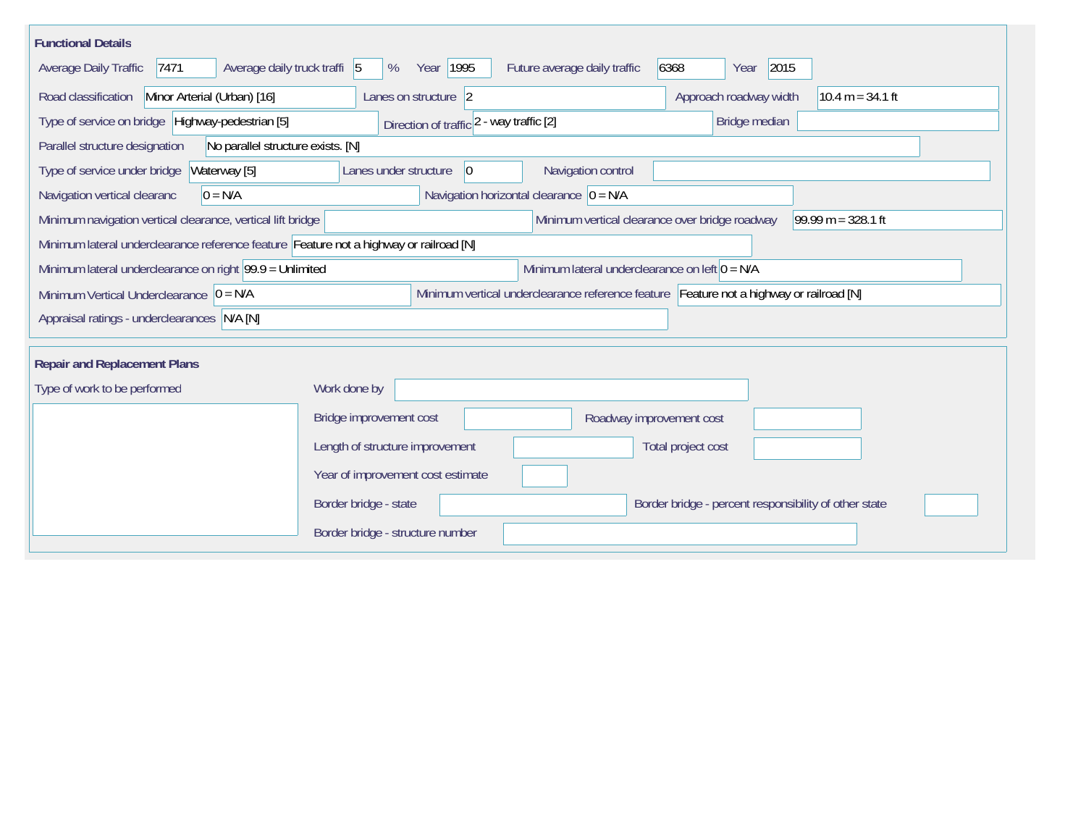| <b>Functional Details</b>                                                                                                             |                                                                                        |  |  |  |  |  |  |  |
|---------------------------------------------------------------------------------------------------------------------------------------|----------------------------------------------------------------------------------------|--|--|--|--|--|--|--|
| 7471<br>Average daily truck traffi 5<br>Average Daily Traffic                                                                         | 6368<br>2015<br>Year 1995<br>Future average daily traffic<br>%<br>Year                 |  |  |  |  |  |  |  |
| Road classification<br>Minor Arterial (Urban) [16]                                                                                    | Approach roadway width<br>Lanes on structure 2<br>$10.4 m = 34.1 ft$                   |  |  |  |  |  |  |  |
| Type of service on bridge Highway-pedestrian [5]<br>Bridge median<br>Direction of traffic 2 - way traffic [2]                         |                                                                                        |  |  |  |  |  |  |  |
| Parallel structure designation<br>No parallel structure exists. [N]                                                                   |                                                                                        |  |  |  |  |  |  |  |
| Waterway [5]<br>Type of service under bridge                                                                                          | Navigation control<br>Lanes under structure<br> 0                                      |  |  |  |  |  |  |  |
| Navigation vertical clearanc<br>$0 = N/A$                                                                                             | Navigation horizontal clearance $ 0 = N/A$                                             |  |  |  |  |  |  |  |
| Minimum navigation vertical clearance, vertical lift bridge                                                                           | 99.99 m = $328.1$ ft<br>Minimum vertical clearance over bridge roadway                 |  |  |  |  |  |  |  |
|                                                                                                                                       | Minimum lateral underclearance reference feature Feature not a highway or railroad [N] |  |  |  |  |  |  |  |
| Minimum lateral underclearance on right $99.9 =$ Unlimited<br>Minimum lateral underclearance on left $0 = N/A$                        |                                                                                        |  |  |  |  |  |  |  |
| Minimum vertical underclearance reference feature Feature not a highway or railroad [N]<br>Minimum Vertical Underclearance $ 0 = N/A$ |                                                                                        |  |  |  |  |  |  |  |
| Appraisal ratings - underclearances N/A [N]                                                                                           |                                                                                        |  |  |  |  |  |  |  |
|                                                                                                                                       |                                                                                        |  |  |  |  |  |  |  |
| <b>Repair and Replacement Plans</b>                                                                                                   |                                                                                        |  |  |  |  |  |  |  |
| Type of work to be performed                                                                                                          | Work done by                                                                           |  |  |  |  |  |  |  |
|                                                                                                                                       | Bridge improvement cost<br>Roadway improvement cost                                    |  |  |  |  |  |  |  |
|                                                                                                                                       | Length of structure improvement<br>Total project cost                                  |  |  |  |  |  |  |  |
|                                                                                                                                       | Year of improvement cost estimate                                                      |  |  |  |  |  |  |  |
|                                                                                                                                       | Border bridge - state<br>Border bridge - percent responsibility of other state         |  |  |  |  |  |  |  |
|                                                                                                                                       | Border bridge - structure number                                                       |  |  |  |  |  |  |  |